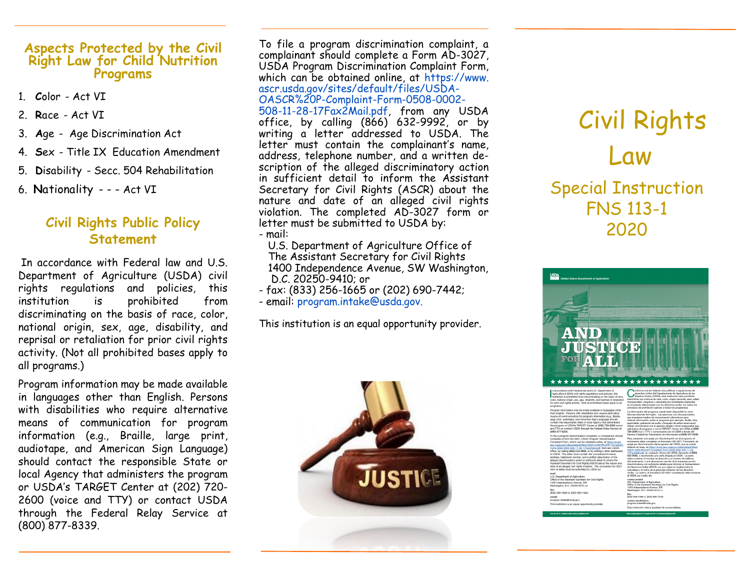#### **Aspects Protected by the Civil Right Law for Child Nutrition Programs**

- 1. **C**olor Act VI
- 2. **R**ace Act VI
- 3. **A**ge Age Discrimination Act
- 4. **S**ex Title IX Education Amendment
- 5. **D**isability Secc. 504 Rehabilitation
- 6. **N**ationality - Act VI

### **Civil Rights Public Policy Statement**

In accordance with Federal law and U.S. Department of Agriculture (USDA) civil rights regulations and policies, this institution is prohibited from discriminating on the basis of race, color, national origin, sex, age, disability, and reprisal or retaliation for prior civil rights activity. (Not all prohibited bases apply to all programs.)

Program information may be made available in languages other than English. Persons with disabilities who require alternative means of communication for program information (e.g., Braille, large print, audiotape, and American Sign Language) should contact the responsible State or local Agency that administers the program or USDA's TARGET Center at (202) 720- 2600 (voice and TTY) or contact USDA through the Federal Relay Service at (800) 877-8339.

To file a program discrimination complaint, a complainant should complete a Form AD-3027, USDA Program Discrimination Complaint Form, which can be obtained online, at https://www. ascr.usda.gov/sites/default/files/USDA-OASCR%20P-Complaint-Form-0508-0002- 508-11-28-17Fax2Mail.pdf, from any USDA

office, by calling (866) 632-9992, or by writing a letter addressed to USDA. The letter must contain the complainant's name, address, telephone number, and a written description of the alleged discriminatory action in sufficient detail to inform the Assistant Secretary for Civil Rights (ASCR) about the nature and date of an alleged civil rights violation. The completed AD-3027 form or letter must be submitted to USDA by:

- mail:
	- U.S. Department of Agriculture Office of The Assistant Secretary for Civil Rights 1400 Independence Avenue, SW Washington, D.C. 20250-9410; or
- fax: (833) 256-1665 or (202) 690-7442;
- email: program.intake@usda.gov.

This institution is an equal opportunity provider.



# Civil Rights Law Special Instruction FNS 113-1

2020